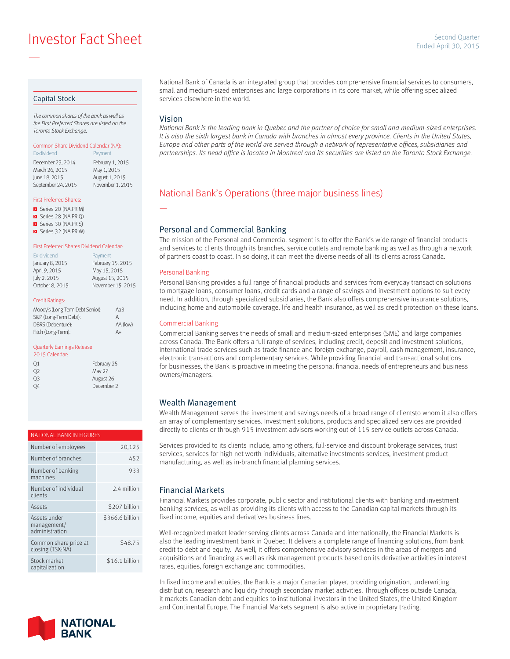**Example 2015** Investor Fact Sheet Sheet April 30, 2015

#### Capital Stock

—

*The common shares of the Bank as well as the First Preferred Shares are listed on the Toronto Stock Exchange.*

### Common Share Dividend Calendar (NA):

Ex-dividend **Payment** December 23, 2014 February 1, 2015<br>March 26, 2015 May 1, 2015 March 26, 2015 June 18, 2015 August 1, 2015 September 24, 2015 November 1, 2015

#### First Preferred Shares:

- Series 20 (NA.PR.M)
- Series 28 (NA.PR.Q)
- Series 30 (NA.PR.S) Series 32 (NA.PR.W)

#### First Preferred Shares Dividend Calendar:

| Ex-dividend     | Payment           |
|-----------------|-------------------|
| January 8, 2015 | February 15, 2015 |
| April 9, 2015   | May 15, 2015      |
| July 2, 2015    | August 15, 2015   |
| October 8, 2015 | November 15, 2015 |
|                 |                   |

#### Credit Ratings:

| Moody's (Long-Term Debt Senior): | АаЗ      |
|----------------------------------|----------|
| S&P (Long-Term Debt):            | А        |
| DBRS (Debenture):                | AA (low) |
| Fitch (Long-Term):               | A+       |

#### Quarterly Earnings Release

| 2015 Calendar: |             |
|----------------|-------------|
| 01             | February 25 |
| 02             | May 27      |
| 03             | August 26   |
| OΔ             | December 2  |

#### NATIONAL BANK IN FIGURES

| Number of employees                           | 20,125          |
|-----------------------------------------------|-----------------|
| Number of branches                            | 452             |
| Number of banking<br>machines                 | 933             |
| Number of individual<br>clients               | 2.4 million     |
| Assets                                        | \$207 billion   |
| Assets under<br>management/<br>administration | \$366.6 billion |
| Common share price at<br>closing (TSX:NA)     | \$48.75         |
| Stock market<br>capitalization                | \$16.1 billion  |



National Bank of Canada is an integrated group that provides comprehensive financial services to consumers, small and medium-sized enterprises and large corporations in its core market, while offering specialized services elsewhere in the world.

#### Vision

—

*National Bank is the leading bank in Quebec and the partner of choice for small and medium-sized enterprises.*  It is also the sixth largest bank in Canada with branches in almost every province. Clients in the United States, *Europe and other parts of the world are served through a network of representative offices, subsidiaries and partnerships. Its head office is located in Montreal and its securities are listed on the Toronto Stock Exchange.*

## National Bank's Operations (three major business lines)

#### Personal and Commercial Banking

The mission of the Personal and Commercial segment is to offer the Bank's wide range of financial products and services to clients through its branches, service outlets and remote banking as well as through a network of partners coast to coast. In so doing, it can meet the diverse needs of all its clients across Canada.

#### Personal Banking

Personal Banking provides a full range of financial products and services from everyday transaction solutions to mortgage loans, consumer loans, credit cards and a range of savings and investment options to suit every need. In addition, through specialized subsidiaries, the Bank also offers comprehensive insurance solutions, including home and automobile coverage, life and health insurance, as well as credit protection on these loans.

#### Commercial Banking

Commercial Banking serves the needs of small and medium-sized enterprises (SME) and large companies across Canada. The Bank offers a full range of services, including credit, deposit and investment solutions, international trade services such as trade finance and foreign exchange, payroll, cash management, insurance, electronic transactions and complementary services. While providing financial and transactional solutions for businesses, the Bank is proactive in meeting the personal financial needs of entrepreneurs and business owners/managers.

#### Wealth Management

Wealth Management serves the investment and savings needs of a broad range of clientsto whom it also offers an array of complementary services. Investment solutions, products and specialized services are provided directly to clients or through 915 investment advisors working out of 115 service outlets across Canada.

Services provided to its clients include, among others, full-service and discount brokerage services, trust services, services for high net worth individuals, alternative investments services, investment product manufacturing, as well as in-branch financial planning services.

#### Financial Markets

Financial Markets provides corporate, public sector and institutional clients with banking and investment banking services, as well as providing its clients with access to the Canadian capital markets through its fixed income, equities and derivatives business lines.

Well-recognized market leader serving clients across Canada and internationally, the Financial Markets is also the leading investment bank in Quebec. It delivers a complete range of financing solutions, from bank credit to debt and equity. As well, it offers comprehensive advisory services in the areas of mergers and acquisitions and financing as well as risk management products based on its derivative activities in interest rates, equities, foreign exchange and commodities.

In fixed income and equities, the Bank is a major Canadian player, providing origination, underwriting, distribution, research and liquidity through secondary market activities. Through offices outside Canada, it markets Canadian debt and equities to institutional investors in the United States, the United Kingdom and Continental Europe. The Financial Markets segment is also active in proprietary trading.